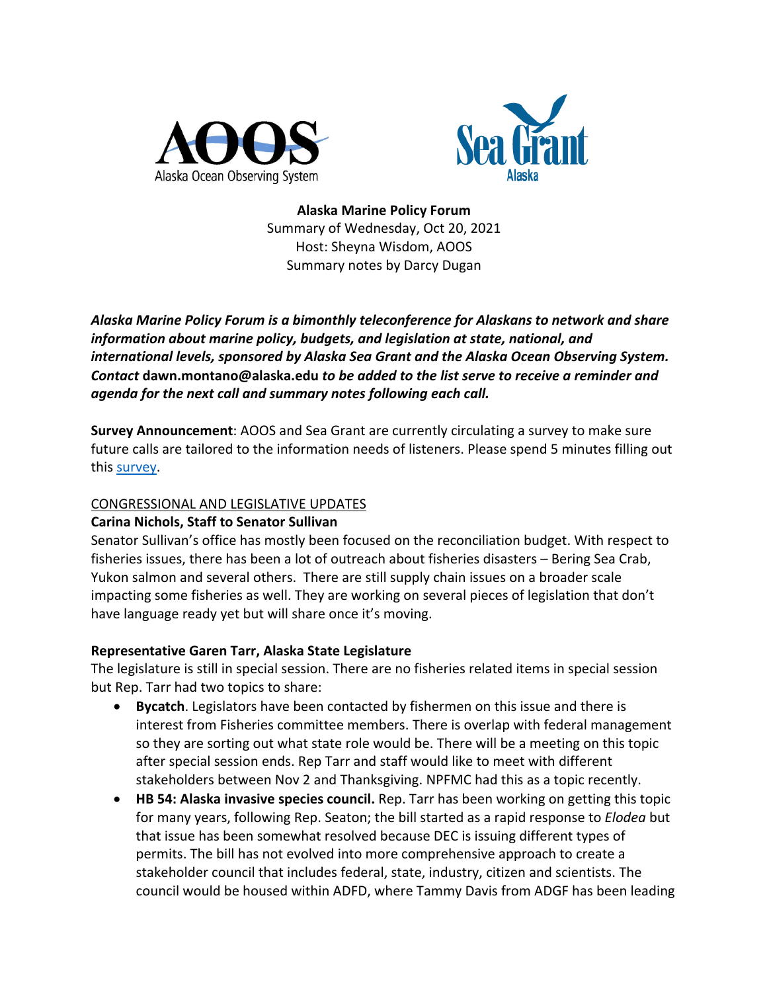



**Alaska Marine Policy Forum** Summary of Wednesday, Oct 20, 2021 Host: Sheyna Wisdom, AOOS Summary notes by Darcy Dugan

*Alaska Marine Policy Forum is a bimonthly teleconference for Alaskans to network and share information about marine policy, budgets, and legislation at state, national, and international levels, sponsored by Alaska Sea Grant and the Alaska Ocean Observing System. Contact* **dawn.montano@alaska.edu** *to be added to the list serve to receive a reminder and agenda for the next call and summary notes following each call.* 

**Survey Announcement**: AOOS and Sea Grant are currently circulating a survey to make sure future calls are tailored to the information needs of listeners. Please spend 5 minutes filling out this survey.

## CONGRESSIONAL AND LEGISLATIVE UPDATES

# **Carina Nichols, Staff to Senator Sullivan**

Senator Sullivan's office has mostly been focused on the reconciliation budget. With respect to fisheries issues, there has been a lot of outreach about fisheries disasters – Bering Sea Crab, Yukon salmon and several others. There are still supply chain issues on a broader scale impacting some fisheries as well. They are working on several pieces of legislation that don't have language ready yet but will share once it's moving.

# **Representative Garen Tarr, Alaska State Legislature**

The legislature is still in special session. There are no fisheries related items in special session but Rep. Tarr had two topics to share:

- **Bycatch**. Legislators have been contacted by fishermen on this issue and there is interest from Fisheries committee members. There is overlap with federal management so they are sorting out what state role would be. There will be a meeting on this topic after special session ends. Rep Tarr and staff would like to meet with different stakeholders between Nov 2 and Thanksgiving. NPFMC had this as a topic recently.
- **HB 54: Alaska invasive species council.** Rep. Tarr has been working on getting this topic for many years, following Rep. Seaton; the bill started as a rapid response to *Elodea* but that issue has been somewhat resolved because DEC is issuing different types of permits. The bill has not evolved into more comprehensive approach to create a stakeholder council that includes federal, state, industry, citizen and scientists. The council would be housed within ADFD, where Tammy Davis from ADGF has been leading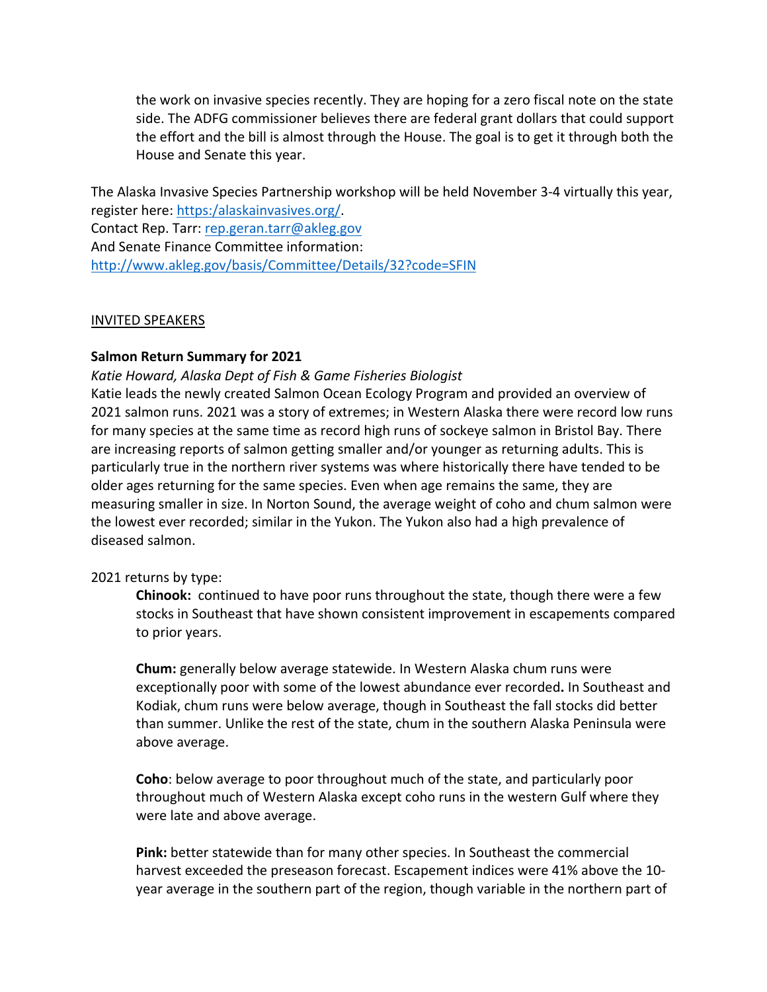the work on invasive species recently. They are hoping for a zero fiscal note on the state side. The ADFG commissioner believes there are federal grant dollars that could support the effort and the bill is almost through the House. The goal is to get it through both the House and Senate this year.

The Alaska Invasive Species Partnership workshop will be held November 3-4 virtually this year, register here: https:/alaskainvasives.org/. Contact Rep. Tarr: rep.geran.tarr@akleg.gov And Senate Finance Committee information: http://www.akleg.gov/basis/Committee/Details/32?code=SFIN

#### INVITED SPEAKERS

### **Salmon Return Summary for 2021**

*Katie Howard, Alaska Dept of Fish & Game Fisheries Biologist* 

Katie leads the newly created Salmon Ocean Ecology Program and provided an overview of 2021 salmon runs. 2021 was a story of extremes; in Western Alaska there were record low runs for many species at the same time as record high runs of sockeye salmon in Bristol Bay. There are increasing reports of salmon getting smaller and/or younger as returning adults. This is particularly true in the northern river systems was where historically there have tended to be older ages returning for the same species. Even when age remains the same, they are measuring smaller in size. In Norton Sound, the average weight of coho and chum salmon were the lowest ever recorded; similar in the Yukon. The Yukon also had a high prevalence of diseased salmon.

#### 2021 returns by type:

**Chinook:** continued to have poor runs throughout the state, though there were a few stocks in Southeast that have shown consistent improvement in escapements compared to prior years.

**Chum:** generally below average statewide. In Western Alaska chum runs were exceptionally poor with some of the lowest abundance ever recorded**.** In Southeast and Kodiak, chum runs were below average, though in Southeast the fall stocks did better than summer. Unlike the rest of the state, chum in the southern Alaska Peninsula were above average.

**Coho**: below average to poor throughout much of the state, and particularly poor throughout much of Western Alaska except coho runs in the western Gulf where they were late and above average.

**Pink:** better statewide than for many other species. In Southeast the commercial harvest exceeded the preseason forecast. Escapement indices were 41% above the 10 year average in the southern part of the region, though variable in the northern part of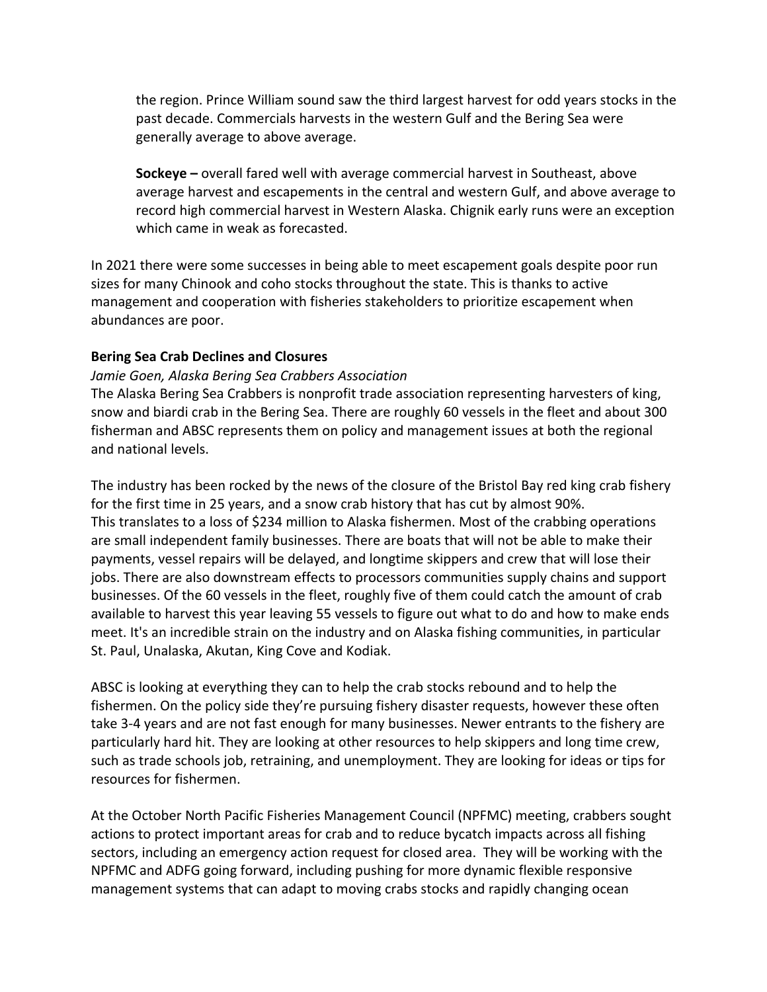the region. Prince William sound saw the third largest harvest for odd years stocks in the past decade. Commercials harvests in the western Gulf and the Bering Sea were generally average to above average.

**Sockeye –** overall fared well with average commercial harvest in Southeast, above average harvest and escapements in the central and western Gulf, and above average to record high commercial harvest in Western Alaska. Chignik early runs were an exception which came in weak as forecasted.

In 2021 there were some successes in being able to meet escapement goals despite poor run sizes for many Chinook and coho stocks throughout the state. This is thanks to active management and cooperation with fisheries stakeholders to prioritize escapement when abundances are poor.

# **Bering Sea Crab Declines and Closures**

# *Jamie Goen, Alaska Bering Sea Crabbers Association*

The Alaska Bering Sea Crabbers is nonprofit trade association representing harvesters of king, snow and biardi crab in the Bering Sea. There are roughly 60 vessels in the fleet and about 300 fisherman and ABSC represents them on policy and management issues at both the regional and national levels.

The industry has been rocked by the news of the closure of the Bristol Bay red king crab fishery for the first time in 25 years, and a snow crab history that has cut by almost 90%. This translates to a loss of \$234 million to Alaska fishermen. Most of the crabbing operations are small independent family businesses. There are boats that will not be able to make their payments, vessel repairs will be delayed, and longtime skippers and crew that will lose their jobs. There are also downstream effects to processors communities supply chains and support businesses. Of the 60 vessels in the fleet, roughly five of them could catch the amount of crab available to harvest this year leaving 55 vessels to figure out what to do and how to make ends meet. It's an incredible strain on the industry and on Alaska fishing communities, in particular St. Paul, Unalaska, Akutan, King Cove and Kodiak.

ABSC is looking at everything they can to help the crab stocks rebound and to help the fishermen. On the policy side they're pursuing fishery disaster requests, however these often take 3-4 years and are not fast enough for many businesses. Newer entrants to the fishery are particularly hard hit. They are looking at other resources to help skippers and long time crew, such as trade schools job, retraining, and unemployment. They are looking for ideas or tips for resources for fishermen.

At the October North Pacific Fisheries Management Council (NPFMC) meeting, crabbers sought actions to protect important areas for crab and to reduce bycatch impacts across all fishing sectors, including an emergency action request for closed area. They will be working with the NPFMC and ADFG going forward, including pushing for more dynamic flexible responsive management systems that can adapt to moving crabs stocks and rapidly changing ocean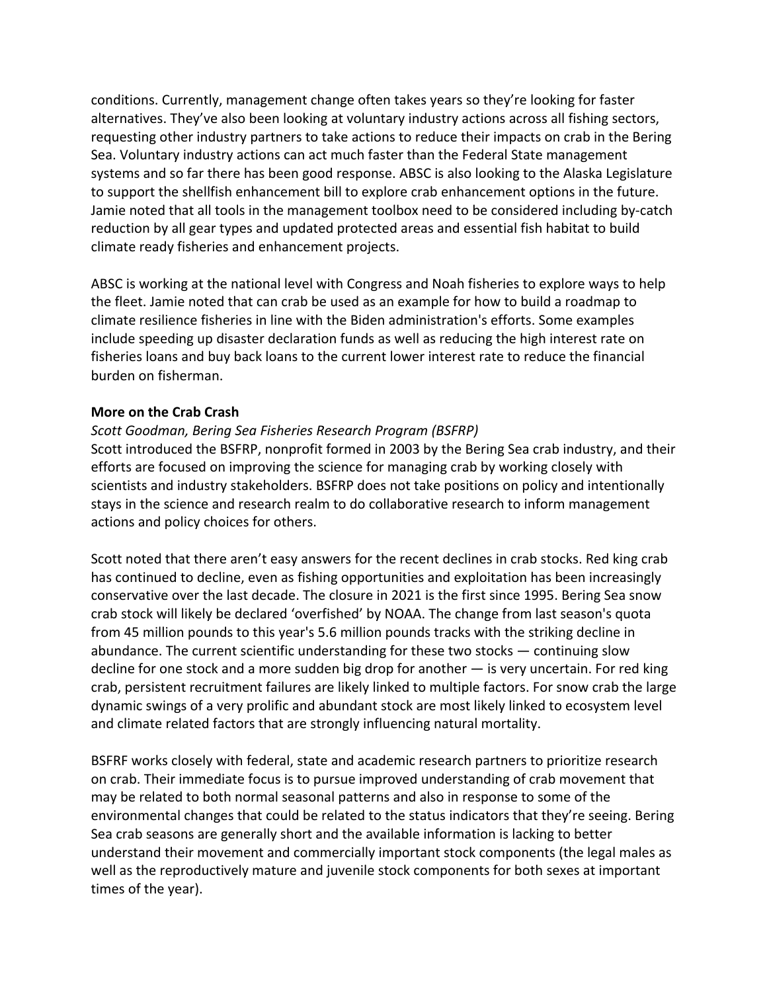conditions. Currently, management change often takes years so they're looking for faster alternatives. They've also been looking at voluntary industry actions across all fishing sectors, requesting other industry partners to take actions to reduce their impacts on crab in the Bering Sea. Voluntary industry actions can act much faster than the Federal State management systems and so far there has been good response. ABSC is also looking to the Alaska Legislature to support the shellfish enhancement bill to explore crab enhancement options in the future. Jamie noted that all tools in the management toolbox need to be considered including by-catch reduction by all gear types and updated protected areas and essential fish habitat to build climate ready fisheries and enhancement projects.

ABSC is working at the national level with Congress and Noah fisheries to explore ways to help the fleet. Jamie noted that can crab be used as an example for how to build a roadmap to climate resilience fisheries in line with the Biden administration's efforts. Some examples include speeding up disaster declaration funds as well as reducing the high interest rate on fisheries loans and buy back loans to the current lower interest rate to reduce the financial burden on fisherman.

### **More on the Crab Crash**

### *Scott Goodman, Bering Sea Fisheries Research Program (BSFRP)*

Scott introduced the BSFRP, nonprofit formed in 2003 by the Bering Sea crab industry, and their efforts are focused on improving the science for managing crab by working closely with scientists and industry stakeholders. BSFRP does not take positions on policy and intentionally stays in the science and research realm to do collaborative research to inform management actions and policy choices for others.

Scott noted that there aren't easy answers for the recent declines in crab stocks. Red king crab has continued to decline, even as fishing opportunities and exploitation has been increasingly conservative over the last decade. The closure in 2021 is the first since 1995. Bering Sea snow crab stock will likely be declared 'overfished' by NOAA. The change from last season's quota from 45 million pounds to this year's 5.6 million pounds tracks with the striking decline in abundance. The current scientific understanding for these two stocks — continuing slow decline for one stock and a more sudden big drop for another  $-$  is very uncertain. For red king crab, persistent recruitment failures are likely linked to multiple factors. For snow crab the large dynamic swings of a very prolific and abundant stock are most likely linked to ecosystem level and climate related factors that are strongly influencing natural mortality.

BSFRF works closely with federal, state and academic research partners to prioritize research on crab. Their immediate focus is to pursue improved understanding of crab movement that may be related to both normal seasonal patterns and also in response to some of the environmental changes that could be related to the status indicators that they're seeing. Bering Sea crab seasons are generally short and the available information is lacking to better understand their movement and commercially important stock components (the legal males as well as the reproductively mature and juvenile stock components for both sexes at important times of the year).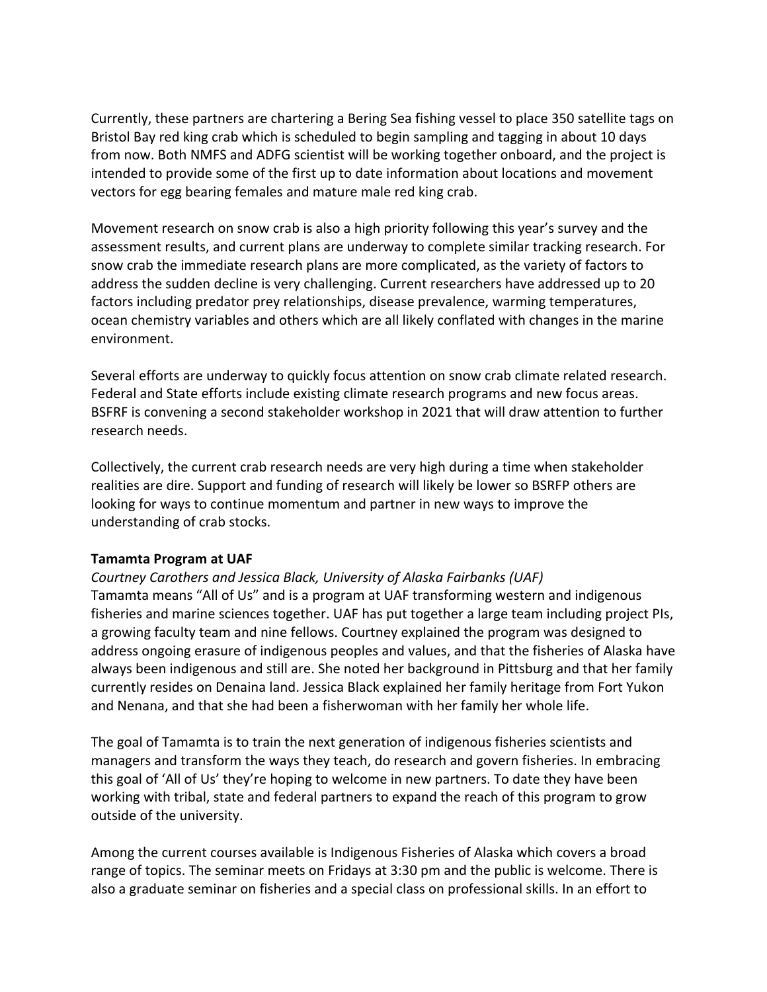Currently, these partners are chartering a Bering Sea fishing vessel to place 350 satellite tags on Bristol Bay red king crab which is scheduled to begin sampling and tagging in about 10 days from now. Both NMFS and ADFG scientist will be working together onboard, and the project is intended to provide some of the first up to date information about locations and movement vectors for egg bearing females and mature male red king crab.

Movement research on snow crab is also a high priority following this year's survey and the assessment results, and current plans are underway to complete similar tracking research. For snow crab the immediate research plans are more complicated, as the variety of factors to address the sudden decline is very challenging. Current researchers have addressed up to 20 factors including predator prey relationships, disease prevalence, warming temperatures, ocean chemistry variables and others which are all likely conflated with changes in the marine environment.

Several efforts are underway to quickly focus attention on snow crab climate related research. Federal and State efforts include existing climate research programs and new focus areas. BSFRF is convening a second stakeholder workshop in 2021 that will draw attention to further research needs.

Collectively, the current crab research needs are very high during a time when stakeholder realities are dire. Support and funding of research will likely be lower so BSRFP others are looking for ways to continue momentum and partner in new ways to improve the understanding of crab stocks.

## **Tamamta Program at UAF**

*Courtney Carothers and Jessica Black, University of Alaska Fairbanks (UAF)* Tamamta means "All of Us" and is a program at UAF transforming western and indigenous fisheries and marine sciences together. UAF has put together a large team including project PIs, a growing faculty team and nine fellows. Courtney explained the program was designed to address ongoing erasure of indigenous peoples and values, and that the fisheries of Alaska have always been indigenous and still are. She noted her background in Pittsburg and that her family currently resides on Denaina land. Jessica Black explained her family heritage from Fort Yukon and Nenana, and that she had been a fisherwoman with her family her whole life.

The goal of Tamamta is to train the next generation of indigenous fisheries scientists and managers and transform the ways they teach, do research and govern fisheries. In embracing this goal of 'All of Us' they're hoping to welcome in new partners. To date they have been working with tribal, state and federal partners to expand the reach of this program to grow outside of the university.

Among the current courses available is Indigenous Fisheries of Alaska which covers a broad range of topics. The seminar meets on Fridays at 3:30 pm and the public is welcome. There is also a graduate seminar on fisheries and a special class on professional skills. In an effort to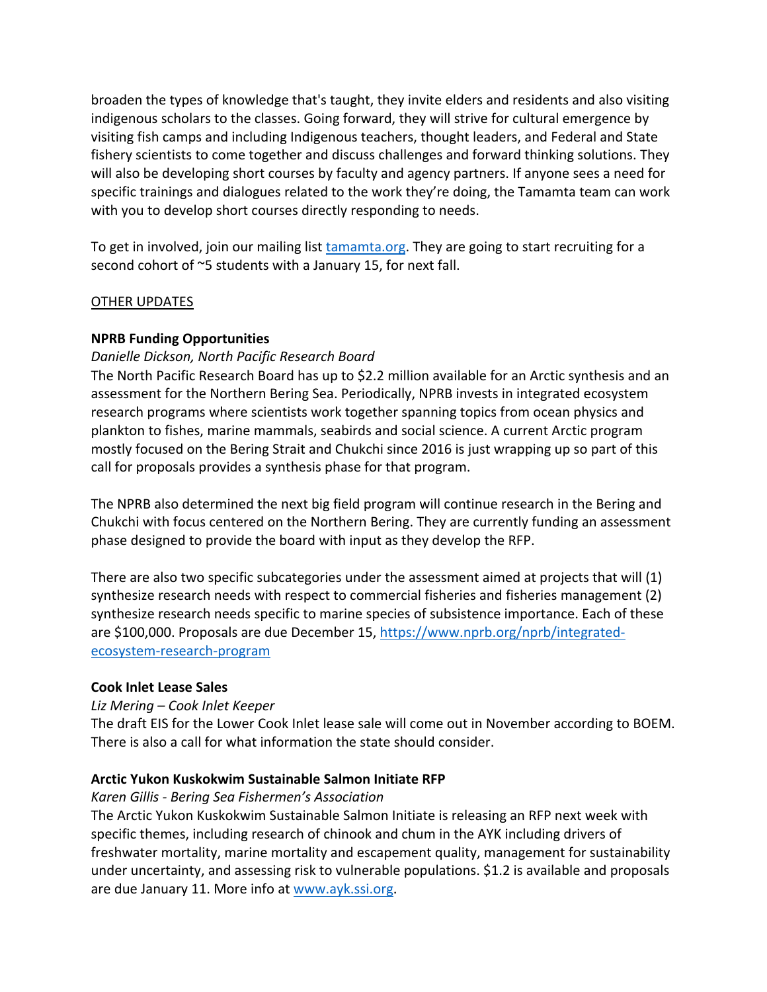broaden the types of knowledge that's taught, they invite elders and residents and also visiting indigenous scholars to the classes. Going forward, they will strive for cultural emergence by visiting fish camps and including Indigenous teachers, thought leaders, and Federal and State fishery scientists to come together and discuss challenges and forward thinking solutions. They will also be developing short courses by faculty and agency partners. If anyone sees a need for specific trainings and dialogues related to the work they're doing, the Tamamta team can work with you to develop short courses directly responding to needs.

To get in involved, join our mailing list tamamta.org. They are going to start recruiting for a second cohort of ~5 students with a January 15, for next fall.

### OTHER UPDATES

### **NPRB Funding Opportunities**

### *Danielle Dickson, North Pacific Research Board*

The North Pacific Research Board has up to \$2.2 million available for an Arctic synthesis and an assessment for the Northern Bering Sea. Periodically, NPRB invests in integrated ecosystem research programs where scientists work together spanning topics from ocean physics and plankton to fishes, marine mammals, seabirds and social science. A current Arctic program mostly focused on the Bering Strait and Chukchi since 2016 is just wrapping up so part of this call for proposals provides a synthesis phase for that program.

The NPRB also determined the next big field program will continue research in the Bering and Chukchi with focus centered on the Northern Bering. They are currently funding an assessment phase designed to provide the board with input as they develop the RFP.

There are also two specific subcategories under the assessment aimed at projects that will (1) synthesize research needs with respect to commercial fisheries and fisheries management (2) synthesize research needs specific to marine species of subsistence importance. Each of these are \$100,000. Proposals are due December 15, https://www.nprb.org/nprb/integratedecosystem-research-program

#### **Cook Inlet Lease Sales**

## *Liz Mering – Cook Inlet Keeper*

The draft EIS for the Lower Cook Inlet lease sale will come out in November according to BOEM. There is also a call for what information the state should consider.

## **Arctic Yukon Kuskokwim Sustainable Salmon Initiate RFP**

#### *Karen Gillis - Bering Sea Fishermen's Association*

The Arctic Yukon Kuskokwim Sustainable Salmon Initiate is releasing an RFP next week with specific themes, including research of chinook and chum in the AYK including drivers of freshwater mortality, marine mortality and escapement quality, management for sustainability under uncertainty, and assessing risk to vulnerable populations. \$1.2 is available and proposals are due January 11. More info at www.ayk.ssi.org.